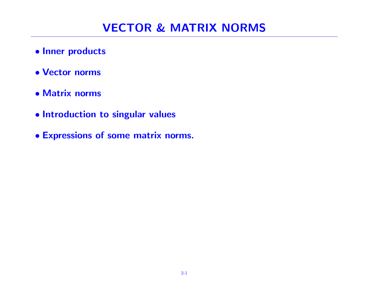- Inner products
- Vector norms
- Matrix norms
- Introduction to singular values
- Expressions of some matrix norms.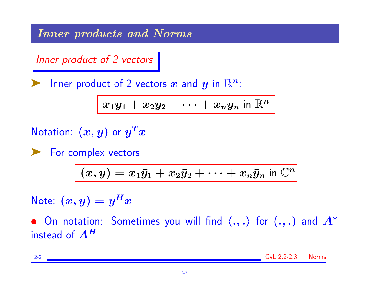Inner products and Norms

Inner product of 2 vectors

Inner product of 2 vectors x and y in  $\mathbb{R}^n$ :

$$
\boxed{x_1y_1+x_2y_2+\cdots+x_ny_n \text{ in } \mathbb{R}^n}
$$

Notation:  $(x, y)$  or  $y^T x$ 

▶ For complex vectors

$$
\overline{(x,y)}=x_1\bar{y}_1+x_2\bar{y}_2+\cdots+x_n\bar{y}_n \text{ in } \mathbb{C}^n
$$

Note:  $(x,y) = y^H x$ 

• On notation: Sometimes you will find  $\langle ., . \rangle$  for  $(., .)$  and  $A^*$ instead of  $A^H$ 

2-2 GvL 2.2-2.3; – Norms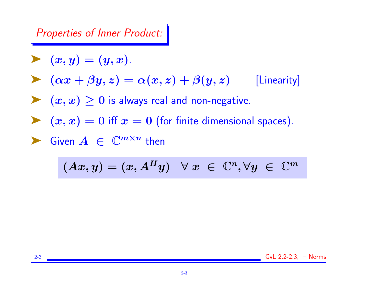Properties of Inner Product:

$$
\blacktriangleright \ \ (x,y)=\overline{(y,x)}.
$$

$$
\triangleright \left( \alpha x + \beta y, z \right) = \alpha(x, z) + \beta(y, z) \qquad \text{[Linearity]}
$$

►  $(x, x) \geq 0$  is always real and non-negative.

 $\blacktriangleright$   $(x, x) = 0$  iff  $x = 0$  (for finite dimensional spaces).

$$
\blacktriangleright \text{ Given } A \in \mathbb{C}^{m \times n} \text{ then }
$$

$$
(Ax,y)=(x,A^Hy) \quad \forall \ x \ \in \ \mathbb{C}^n, \forall y \ \in \ \mathbb{C}^m
$$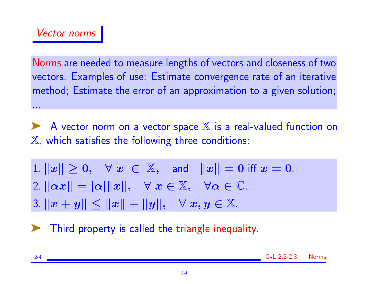Norms are needed to measure lengths of vectors and closeness of two vectors. Examples of use: Estimate convergence rate of an iterative method; Estimate the error of an approximation to a given solution; ...

◆ A vector norm on a vector space X is a real-valued function on  $X$ , which satisfies the following three conditions:

1.  $||x|| \geq 0$ ,  $\forall x \in \mathbb{X}$ , and  $||x|| = 0$  iff  $x = 0$ . 2.  $\|\alpha x\| = |\alpha| \|x\|, \quad \forall x \in \mathbb{X}, \quad \forall \alpha \in \mathbb{C}.$ 3.  $||x + y|| \le ||x|| + ||y||$ ,  $\forall x, y \in \mathbb{X}$ .

➤ Third property is called the triangle inequality.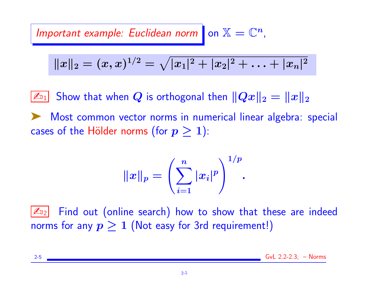Important example: Euclidean norm on  $\mathbb{X} = \mathbb{C}^n$ ,

$$
||x||_2 = (x,x)^{1/2} = \sqrt{|x_1|^2 + |x_2|^2 + \ldots + |x_n|^2}
$$

 $\|\mathbb{Z}_{\text{D1}}\|$  Show that when  $Q$  is orthogonal then  $\|Qx\|_2 = \|x\|_2$ 

➤ Most common vector norms in numerical linear algebra: special cases of the Hölder norms (for  $p \geq 1$ ):

$$
\|x\|_p=\left(\sum_{i=1}^n|x_i|^p\right)^{1/p}.
$$

 $\mathbb{Z}_{2}$  Find out (online search) how to show that these are indeed norms for any  $p \geq 1$  (Not easy for 3rd requirement!)

2-5 GvL 2.2-2.3; – Norms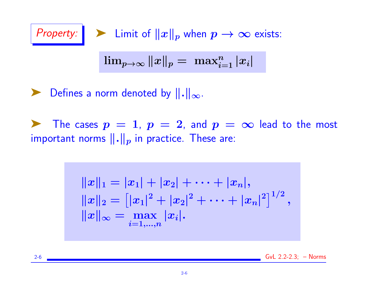Property:

\n
$$
\sum_{i=1}^{\infty} \lim_{p \to \infty} \|x\|_p
$$
\n
$$
\lim_{p \to \infty} \|x\|_p = \max_{i=1}^n |x_i|
$$

▶ Defines a norm denoted by  $\|\cdot\|_{\infty}$ .

The cases  $p = 1$ ,  $p = 2$ , and  $p = \infty$  lead to the most important norms  $\|.\|_p$  in practice. These are:

$$
\begin{aligned} \|x\|_1 &= |x_1| + |x_2| + \cdots + |x_n|, \\ \|x\|_2 &= \bigl[|x_1|^2 + |x_2|^2 + \cdots + |x_n|^2\bigr]^{1/2}, \\ \|x\|_\infty &= \max_{i=1,...,n} |x_i|. \end{aligned}
$$

2-6 GvL 2.2-2.3; – Norms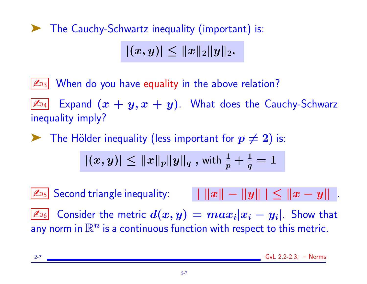➤ The Cauchy-Schwartz inequality (important) is:

 $|(x, y)| \leq ||x||_2||y||_2.$ 

 $\mathbb{Z}_{3}$  When do you have equality in the above relation?

 $\mathbb{Z}_{\mathbb{Z}_4}$  Expand  $(x+y,x+y)$ . What does the Cauchy-Schwarz inequality imply?

**Example 1** The Hölder inequality (less important for  $p \neq 2$ ) is:

$$
|(x,y)|\leq \|x\|_p\|y\|_q \text{ , with } \tfrac{1}{p}+\tfrac{1}{q}=1
$$

 $\| \mathbb{Z}_{\mathbb{D}_5} \big|$  Second triangle inequality:  $\| \cdot \| x \| - \| y \| \ | \leq \| x - y \| \ \ .$  $\boxed{\mathbb{Z}_{\text{lo}}}$  Consider the metric  $d(x,y) = max_i |x_i - y_i|$ . Show that any norm in  $\mathbb{R}^n$  is a continuous function with respect to this metric.

2-7 GvL 2.2-2.3; – Norms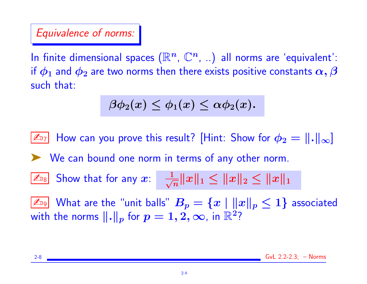# Equivalence of norms:

In finite dimensional spaces  $(\mathbb{R}^n, \, \mathbb{C}^n, \, \ldots)$  all norms are 'equivalent': if  $\phi_1$  and  $\phi_2$  are two norms then there exists positive constants  $\alpha,\beta$ such that:

$$
\beta\phi_2(x)\leq\phi_1(x)\leq\alpha\phi_2(x).
$$

 $\mathbb{Z}_{7}$  How can you prove this result? [Hint: Show for  $\phi_2 = ||.||_{\infty}$ ] ➤ We can bound one norm in terms of any other norm.  $\mathbb{Z}_{\text{DB}}$  Show that for any  $x$ :  $\frac{1}{\sqrt{2}}$  $\frac{1}{\overline{n}}\|x\|_1\leq \|x\|_2\leq \|x\|_1$  $\boxed{\mathbb{Z}_{\mathbb{D}^0}}$  What are the "unit balls"  $B_p = \{x\mid \|x\|_p \leq 1\}$  associated with the norms  $\|.\|_p$  for  $p=1,2,\infty$ , in  $\mathbb{R}^2$ ?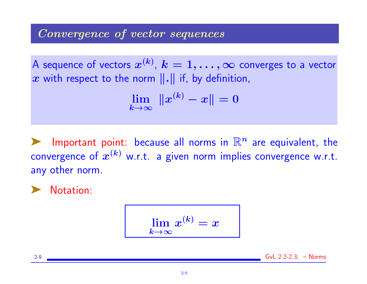## Convergence of vector sequences

A sequence of vectors  $x^{(k)},\, k=1,\ldots,\infty$  converges to a vector x with respect to the norm  $\|\cdot\|$  if, by definition,

$$
\lim_{k\to\infty} \ \|x^{(k)}-x\|=0
$$

Important point: because all norms in  $\mathbb{R}^n$  are equivalent, the convergence of  $x^{(k)}$  w.r.t. a given norm implies convergence w.r.t. any other norm.

➤ Notation:

$$
\lim_{k\to\infty}x^{(k)}=x
$$

2-9 GvL 2.2-2.3; – Norms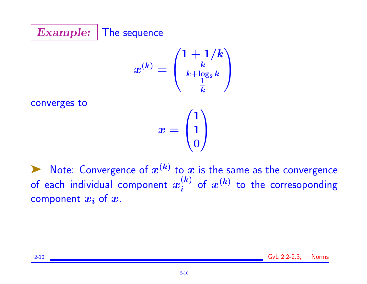

$$
x^{(k)}=\left(\begin{matrix} 1+1/k \\ \frac{k}{k+\log_2 k} \\ \frac{1}{k} \end{matrix}\right)
$$

converges to

$$
x=\begin{pmatrix}1\\1\\0\end{pmatrix}
$$

 $\blacktriangleright$  Note: Convergence of  $x^{(k)}$  to  $x$  is the same as the convergence of each individual component  $x^{(k)}_{i}$  $\binom{(k)}{i}$  of  $\bm{x}^{(k)}$  to the corresoponding component  $x_i$  of  $x$ .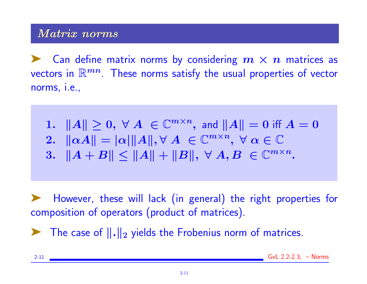External Can define matrix norms by considering  $m \times n$  matrices as vectors in  $\mathbb{R}^{mn}$ . These norms satisfy the usual properties of vector norms, i.e.,

1.  $||A|| \geq 0$ ,  $\forall A \in \mathbb{C}^{m \times n}$ , and  $||A|| = 0$  iff  $A = 0$ 2.  $\|\alpha A\| = |\alpha| \|A\|, \forall A \in \mathbb{C}^{m \times n}, \ \forall \alpha \in \mathbb{C}$ 3.  $||A + B|| \le ||A|| + ||B||, \ \forall A, B \in \mathbb{C}^{m \times n}$ .

However, these will lack (in general) the right properties for composition of operators (product of matrices).

 $\blacktriangleright$  The case of  $\|\cdot\|_2$  yields the Frobenius norm of matrices.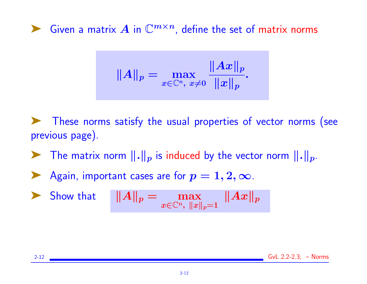▶ Given a matrix A in  $\mathbb{C}^{m \times n}$ , define the set of matrix norms

$$
\|A\|_p=\max_{x\in\mathbb{C}^n,\;x\neq 0}\frac{\|Ax\|_p}{\|x\|_p}.
$$

➤ These norms satisfy the usual properties of vector norms (see previous page).

 $\blacktriangleright$  The matrix norm  $\lVert . \rVert_p$  is induced by the vector norm  $\lVert . \rVert_p$ .

$$
\blacktriangleright
$$
 Again, important cases are for  $p = 1, 2, \infty$ .

Show that 
$$
||A||_p = \max_{x \in \mathbb{C}^n, ||x||_p = 1} ||Ax||_p
$$

2-12 GvL 2.2-2.3; – Norms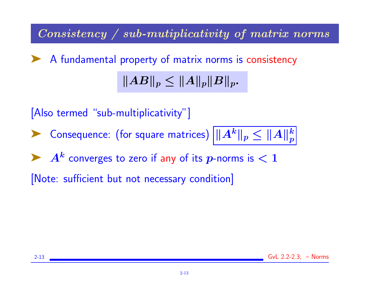Consistency / sub-mutiplicativity of matrix norms

▶ A fundamental property of matrix norms is consistency  $||AB||_p \leq ||A||_p ||B||_p.$ 

[Also termed "sub-multiplicativity"] ▶ Consequence: (for square matrices)  $\sqrt{\|A^k\|_p} \leq \|A\|_p^k$  $\boldsymbol{p}$  $\blacktriangleright$   $A^k$  converges to zero if any of its  $p$ -norms is  $< 1$ [Note: sufficient but not necessary condition]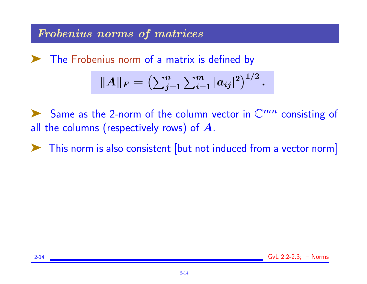# Frobenius norms of matrices

➤ The Frobenius norm of a matrix is defined by

$$
||A||_F = \left(\sum_{j=1}^n \sum_{i=1}^m |a_{ij}|^2\right)^{1/2}.
$$

Same as the 2-norm of the column vector in  $\mathbb{C}^{mn}$  consisting of all the columns (respectively rows) of  $A$ .

► This norm is also consistent [but not induced from a vector norm]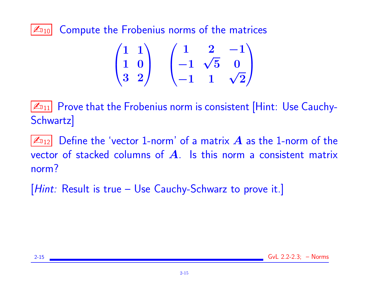$|\mathcal{L}_{10}|$  Compute the Frobenius norms of the matrices

$$
\begin{pmatrix}\n1 & 1 \\
1 & 0 \\
3 & 2\n\end{pmatrix}\n\begin{pmatrix}\n1 & 2 & -1 \\
-1 & \sqrt{5} & 0 \\
-1 & 1 & \sqrt{2}\n\end{pmatrix}
$$

 $|\mathcal{L}_{11}|$  Prove that the Frobenius norm is consistent [Hint: Use Cauchy-Schwartz]

 $|\mathbb{Z}_{12}|$  Define the 'vector 1-norm' of a matrix  $\bm{A}$  as the 1-norm of the vector of stacked columns of  $\bm{A}$ . Is this norm a consistent matrix norm?

[Hint: Result is true – Use Cauchy-Schwarz to prove it.]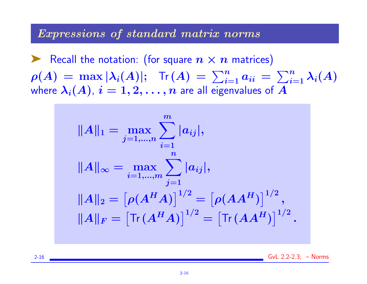#### Expressions of standard matrix norms

Recall the notation: (for square  $n \times n$  matrices)  $\rho(A) = \max |\lambda_i(A)|; \;\; \text{Tr}(A) = \sum_{i=1}^n a_{ii} = \sum_{i=1}^n \lambda_i(A)$ where  $\lambda_i(A)$ ,  $i = 1, 2, \ldots, n$  are all eigenvalues of A



2-16 GvL 2.2-2.3; – Norms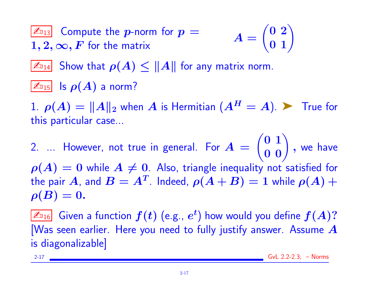$$
\boxed{\mathbb{Z}_{\text{D}_13}} \quad \text{Compute the } \text{p-norm for } p = \qquad \qquad A = \begin{pmatrix} 0 & 2 \\ 0 & 1 \end{pmatrix}
$$
\n
$$
1, 2, \infty, F \text{ for the matrix}
$$

 $\mathbb{Z}_{14}$  Show that  $\rho(A) \leq ||A||$  for any matrix norm.

 $\boxed{\mathbb{Z}_{015}}$  Is  $\rho(A)$  a norm?

1.  $\rho(A) = ||A||_2$  when A is Hermitian  $(A^H = A)$ .  $\triangleright$  True for this particular case...

2. ... However, not true in general. For  $A =$  $\begin{pmatrix} 0 & 1 \\ 0 & 0 \end{pmatrix}$ , we have  $\rho(A) = 0$  while  $A \neq 0$ . Also, triangle inequality not satisfied for the pair  $A$ , and  $B=A^T$ . Indeed,  $\rho(A+B)=1$  while  $\rho(A)+1$  $\rho(B)=0.$ 

 $\mathbb{Z}_{\text{D16}}$  Given a function  $f(t)$  (e.g.,  $e^t$ ) how would you define  $f(A)?$ [Was seen earlier. Here you need to fully justify answer. Assume  $A$ is diagonalizable]

2-17 GvL 2.2-2.3; – Norms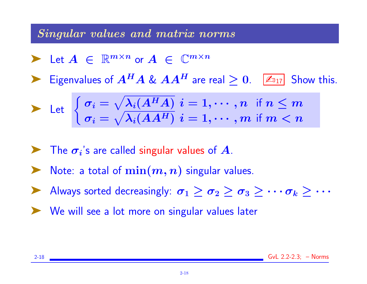## Singular values and matrix norms

$$
\blacktriangleright \ \mathsf{Let} \ A \ \in \ \mathbb{R}^{m \times n} \ \text{or} \ A \ \in \ \mathbb{C}^{m \times n}
$$

Eigenvalues of  $A^H A \& A A^H$  are real  $> 0$ .  $\boxed{\mathbb{Z}_{17}}$  Show this.

$$
\blacktriangleright \ \ \mathsf{Let} \ \ \left\{ \begin{matrix} \sigma_i = \sqrt{\lambda_i(A^H A)} \ \ i = 1, \cdots, n \ \ \mathsf{if} \ n \leq m \\ \sigma_i = \sqrt{\lambda_i(AA^H)} \ \ i = 1, \cdots, m \ \mathsf{if} \ m < n \end{matrix} \right.
$$

- $\blacktriangleright$  The  $\sigma_i$ 's are called singular values of A.
- Note: a total of  $\min(m, n)$  singular values.
- Always sorted decreasingly:  $\sigma_1 \ge \sigma_2 \ge \sigma_3 \ge \cdots \sigma_k > \cdots$
- ➤ We will see a lot more on singular values later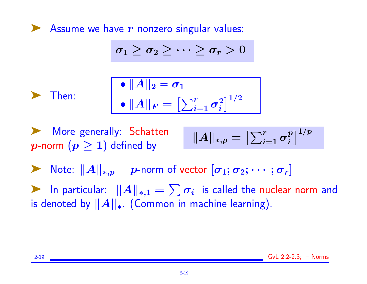Assume we have  $r$  nonzero singular values:

$$
\sigma_1 \geq \sigma_2 \geq \cdots \geq \sigma_r > 0
$$

➤ Then:

$$
\begin{aligned}\n\bullet \|A\|_2 &= \sigma_1 \\
\bullet \|A\|_F &= \left[\sum_{i=1}^r \sigma_i^2\right]^{1/2}\n\end{aligned}
$$

More generally: Schatten p-norm  $(p > 1)$  defined by

$$
\|A\|_{*,p}=\left[\textstyle\sum_{i=1}^r \sigma_i^p\right]^{1/p}
$$

A Note:  $||A||_{*,p} = p$ -norm of vector  $[\sigma_1; \sigma_2; \cdots; \sigma_r]$ 

A In particular:  $||A||_{*,1} = \sum \sigma_i$  is called the nuclear norm and is denoted by  $||A||_*$ . (Common in machine learning).